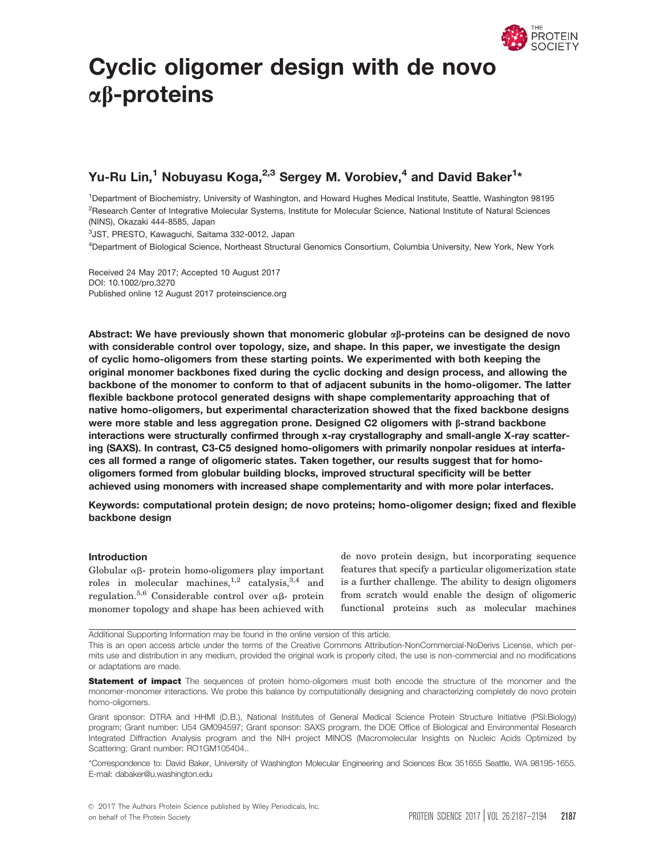

# Cyclic oligomer design with de novo  $\alpha\beta$ -proteins

# Yu-Ru Lin, $^{\rm 1}$  Nobuyasu Koga, $^{\rm 2,3}$  Sergey M. Vorobiev, $^{\rm 4}$  and David Baker $^{\rm 1\star}$

1 Department of Biochemistry, University of Washington, and Howard Hughes Medical Institute, Seattle, Washington 98195 <sup>2</sup>Research Center of Integrative Molecular Systems, Institute for Molecular Science, National Institute of Natural Sciences (NINS), Okazaki 444-8585, Japan

3 JST, PRESTO, Kawaguchi, Saitama 332-0012, Japan

4 Department of Biological Science, Northeast Structural Genomics Consortium, Columbia University, New York, New York

Received 24 May 2017; Accepted 10 August 2017 DOI: 10.1002/pro.3270 Published online 12 August 2017 proteinscience.org

Abstract: We have previously shown that monomeric globular  $\alpha\beta$ -proteins can be designed de novo with considerable control over topology, size, and shape. In this paper, we investigate the design of cyclic homo-oligomers from these starting points. We experimented with both keeping the original monomer backbones fixed during the cyclic docking and design process, and allowing the backbone of the monomer to conform to that of adjacent subunits in the homo-oligomer. The latter flexible backbone protocol generated designs with shape complementarity approaching that of native homo-oligomers, but experimental characterization showed that the fixed backbone designs were more stable and less aggregation prone. Designed C2 oligomers with  $\beta$ -strand backbone interactions were structurally confirmed through x-ray crystallography and small-angle X-ray scattering (SAXS). In contrast, C3-C5 designed homo-oligomers with primarily nonpolar residues at interfaces all formed a range of oligomeric states. Taken together, our results suggest that for homooligomers formed from globular building blocks, improved structural specificity will be better achieved using monomers with increased shape complementarity and with more polar interfaces.

Keywords: computational protein design; de novo proteins; homo-oligomer design; fixed and flexible backbone design

# Introduction

Globular  $\alpha\beta$ - protein homo-oligomers play important roles in molecular machines,  $1,2$  catalysis,  $3,4$  and regulation.<sup>5,6</sup> Considerable control over  $\alpha\beta$ - protein monomer topology and shape has been achieved with

de novo protein design, but incorporating sequence features that specify a particular oligomerization state is a further challenge. The ability to design oligomers from scratch would enable the design of oligomeric functional proteins such as molecular machines

Additional Supporting Information may be found in the online version of this article.

This is an open access article under the terms of the Creative Commons Attribution-NonCommercial-NoDerivs License, which permits use and distribution in any medium, provided the original work is properly cited, the use is non-commercial and no modifications or adaptations are made.

Statement of impact The sequences of protein homo-oligomers must both encode the structure of the monomer and the monomer-monomer interactions. We probe this balance by computationally designing and characterizing completely de novo protein homo-oligomers.

Grant sponsor: DTRA and HHMI (D.B.), National Institutes of General Medical Science Protein Structure Initiative (PSI:Biology) program; Grant number: U54 GM094597; Grant sponsor: SAXS program, the DOE Office of Biological and Environmental Research Integrated Diffraction Analysis program and the NIH project MINOS (Macromolecular Insights on Nucleic Acids Optimized by Scattering; Grant number: RO1GM105404..

\*Correspondence to: David Baker, University of Washington Molecular Engineering and Sciences Box 351655 Seattle, WA 98195-1655. E-mail: dabaker@u.washington.edu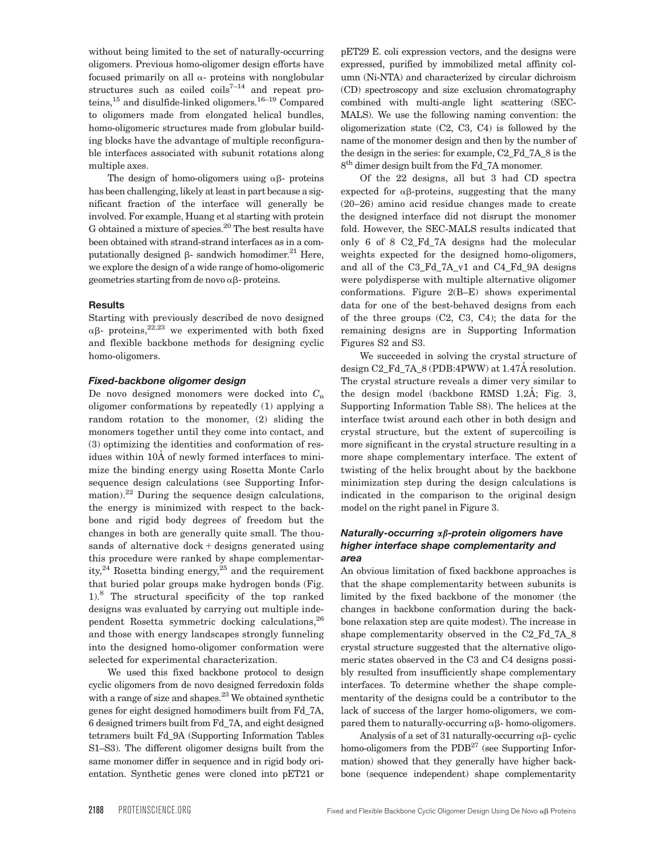without being limited to the set of naturally-occurring oligomers. Previous homo-oligomer design efforts have focused primarily on all  $\alpha$ - proteins with nonglobular structures such as coiled coils<sup> $7-14$ </sup> and repeat proteins,15 and disulfide-linked oligomers.16–19 Compared to oligomers made from elongated helical bundles, homo-oligomeric structures made from globular building blocks have the advantage of multiple reconfigurable interfaces associated with subunit rotations along multiple axes.

The design of homo-oligomers using  $\alpha\beta$ - proteins has been challenging, likely at least in part because a significant fraction of the interface will generally be involved. For example, Huang et al starting with protein G obtained a mixture of species.<sup>20</sup> The best results have been obtained with strand-strand interfaces as in a computationally designed  $\beta$ - sandwich homodimer.<sup>21</sup> Here, we explore the design of a wide range of homo-oligomeric geometries starting from de novo  $\alpha\beta$ - proteins.

# **Results**

Starting with previously described de novo designed  $\alpha\beta$ - proteins,<sup>22,23</sup> we experimented with both fixed and flexible backbone methods for designing cyclic homo-oligomers.

# Fixed-backbone oligomer design

De novo designed monomers were docked into  $C_n$ oligomer conformations by repeatedly (1) applying a random rotation to the monomer, (2) sliding the monomers together until they come into contact, and (3) optimizing the identities and conformation of residues within 10A of newly formed interfaces to minimize the binding energy using Rosetta Monte Carlo sequence design calculations (see Supporting Information). $22$  During the sequence design calculations, the energy is minimized with respect to the backbone and rigid body degrees of freedom but the changes in both are generally quite small. The thousands of alternative  $d$ ock + designs generated using this procedure were ranked by shape complementarity,<sup>24</sup> Rosetta binding energy,<sup>25</sup> and the requirement that buried polar groups make hydrogen bonds (Fig. 1).8 The structural specificity of the top ranked designs was evaluated by carrying out multiple independent Rosetta symmetric docking calculations,<sup>26</sup> and those with energy landscapes strongly funneling into the designed homo-oligomer conformation were selected for experimental characterization.

We used this fixed backbone protocol to design cyclic oligomers from de novo designed ferredoxin folds with a range of size and shapes. $23$  We obtained synthetic genes for eight designed homodimers built from Fd\_7A, 6 designed trimers built from Fd\_7A, and eight designed tetramers built Fd\_9A (Supporting Information Tables S1–S3). The different oligomer designs built from the same monomer differ in sequence and in rigid body orientation. Synthetic genes were cloned into pET21 or

pET29 E. coli expression vectors, and the designs were expressed, purified by immobilized metal affinity column (Ni-NTA) and characterized by circular dichroism (CD) spectroscopy and size exclusion chromatography combined with multi-angle light scattering (SEC-MALS). We use the following naming convention: the oligomerization state (C2, C3, C4) is followed by the name of the monomer design and then by the number of the design in the series: for example, C2\_Fd\_7A\_8 is the 8<sup>th</sup> dimer design built from the Fd\_7A monomer.

Of the 22 designs, all but 3 had CD spectra expected for  $\alpha\beta$ -proteins, suggesting that the many (20–26) amino acid residue changes made to create the designed interface did not disrupt the monomer fold. However, the SEC-MALS results indicated that only 6 of 8 C2\_Fd\_7A designs had the molecular weights expected for the designed homo-oligomers, and all of the C3\_Fd\_7A\_v1 and C4\_Fd\_9A designs were polydisperse with multiple alternative oligomer conformations. Figure 2(B–E) shows experimental data for one of the best-behaved designs from each of the three groups (C2, C3, C4); the data for the remaining designs are in Supporting Information Figures S2 and S3.

We succeeded in solving the crystal structure of design  $C2_Fd_7A_8$  (PDB:4PWW) at 1.47Å resolution. The crystal structure reveals a dimer very similar to the design model (backbone RMSD  $1.2\text{\AA}$ ; Fig. 3, Supporting Information Table S8). The helices at the interface twist around each other in both design and crystal structure, but the extent of supercoiling is more significant in the crystal structure resulting in a more shape complementary interface. The extent of twisting of the helix brought about by the backbone minimization step during the design calculations is indicated in the comparison to the original design model on the right panel in Figure 3.

# Naturally-occurring  $\alpha\beta$ -protein oligomers have higher interface shape complementarity and area

An obvious limitation of fixed backbone approaches is that the shape complementarity between subunits is limited by the fixed backbone of the monomer (the changes in backbone conformation during the backbone relaxation step are quite modest). The increase in shape complementarity observed in the C2\_Fd\_7A\_8 crystal structure suggested that the alternative oligomeric states observed in the C3 and C4 designs possibly resulted from insufficiently shape complementary interfaces. To determine whether the shape complementarity of the designs could be a contributor to the lack of success of the larger homo-oligomers, we compared them to naturally-occurring  $\alpha\beta$ - homo-oligomers.

Analysis of a set of 31 naturally-occurring  $\alpha\beta$ - cyclic homo-oligomers from the PDB<sup>27</sup> (see Supporting Information) showed that they generally have higher backbone (sequence independent) shape complementarity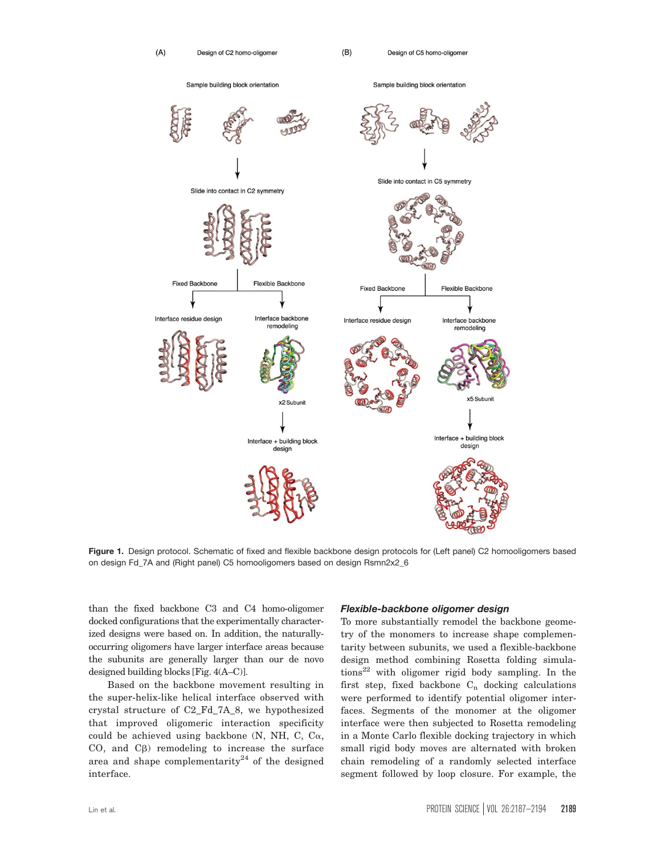

Figure 1. Design protocol. Schematic of fixed and flexible backbone design protocols for (Left panel) C2 homooligomers based on design Fd\_7A and (Right panel) C5 homooligomers based on design Rsmn2x2\_6

than the fixed backbone C3 and C4 homo-oligomer docked configurations that the experimentally characterized designs were based on. In addition, the naturallyoccurring oligomers have larger interface areas because the subunits are generally larger than our de novo designed building blocks [Fig. 4(A–C)].

Based on the backbone movement resulting in the super-helix-like helical interface observed with crystal structure of C2\_Fd\_7A\_8, we hypothesized that improved oligomeric interaction specificity could be achieved using backbone  $(N, NH, C, C\alpha,$ CO, and  $C\beta$ ) remodeling to increase the surface area and shape complementarity $24$  of the designed interface.

#### Flexible-backbone oligomer design

To more substantially remodel the backbone geometry of the monomers to increase shape complementarity between subunits, we used a flexible-backbone design method combining Rosetta folding simula $tions<sup>22</sup>$  with oligomer rigid body sampling. In the first step, fixed backbone  $C_n$  docking calculations were performed to identify potential oligomer interfaces. Segments of the monomer at the oligomer interface were then subjected to Rosetta remodeling in a Monte Carlo flexible docking trajectory in which small rigid body moves are alternated with broken chain remodeling of a randomly selected interface segment followed by loop closure. For example, the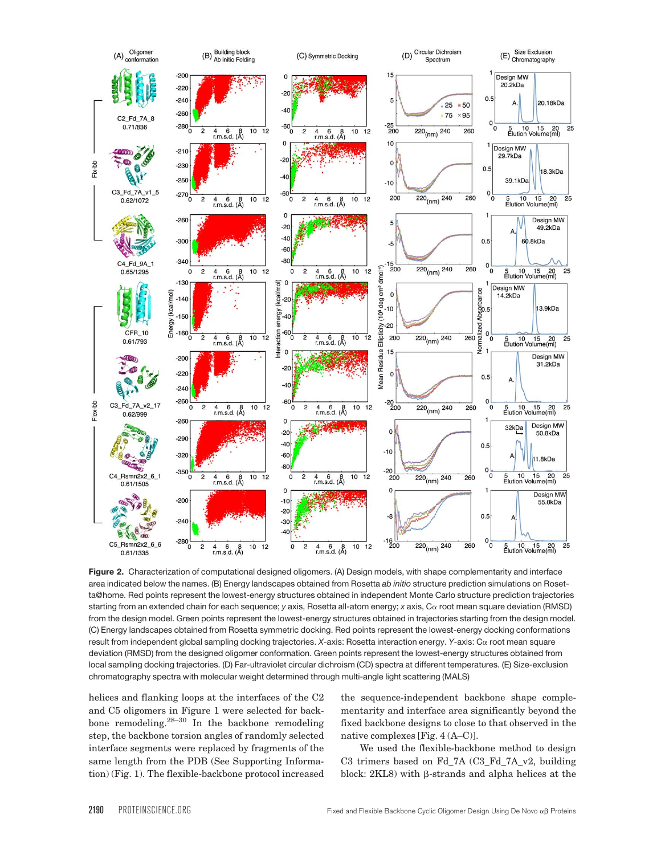

Figure 2. Characterization of computational designed oligomers. (A) Design models, with shape complementarity and interface area indicated below the names. (B) Energy landscapes obtained from Rosetta ab initio structure prediction simulations on Rosetta@home. Red points represent the lowest-energy structures obtained in independent Monte Carlo structure prediction trajectories starting from an extended chain for each sequence; y axis, Rosetta all-atom energy; x axis, C $\alpha$  root mean square deviation (RMSD) from the design model. Green points represent the lowest-energy structures obtained in trajectories starting from the design model. (C) Energy landscapes obtained from Rosetta symmetric docking. Red points represent the lowest-energy docking conformations result from independent global sampling docking trajectories. X-axis: Rosetta interaction energy. Y-axis: Ca root mean square deviation (RMSD) from the designed oligomer conformation. Green points represent the lowest-energy structures obtained from local sampling docking trajectories. (D) Far-ultraviolet circular dichroism (CD) spectra at different temperatures. (E) Size-exclusion chromatography spectra with molecular weight determined through multi-angle light scattering (MALS)

helices and flanking loops at the interfaces of the C2 and C5 oligomers in Figure 1 were selected for backbone remodeling. $28-30$  In the backbone remodeling step, the backbone torsion angles of randomly selected interface segments were replaced by fragments of the same length from the PDB (See Supporting Information) (Fig. 1). The flexible-backbone protocol increased

the sequence-independent backbone shape complementarity and interface area significantly beyond the fixed backbone designs to close to that observed in the native complexes [Fig. 4 (A–C)].

We used the flexible-backbone method to design C3 trimers based on Fd\_7A (C3\_Fd\_7A\_v2, building block:  $2KL8$ ) with  $\beta$ -strands and alpha helices at the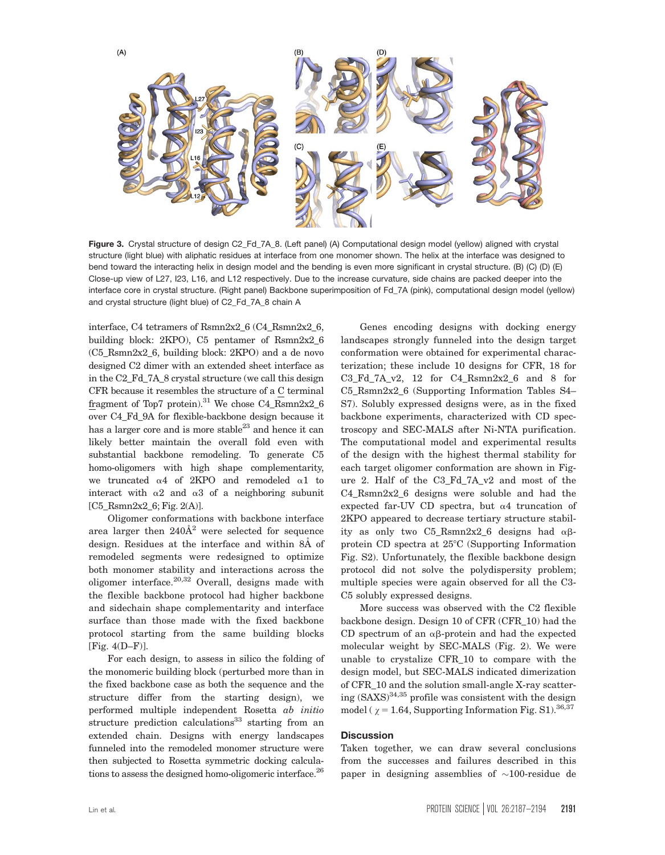

Figure 3. Crystal structure of design C2\_Fd\_7A\_8. (Left panel) (A) Computational design model (yellow) aligned with crystal structure (light blue) with aliphatic residues at interface from one monomer shown. The helix at the interface was designed to bend toward the interacting helix in design model and the bending is even more significant in crystal structure. (B) (C) (D) (E) Close-up view of L27, I23, L16, and L12 respectively. Due to the increase curvature, side chains are packed deeper into the interface core in crystal structure. (Right panel) Backbone superimposition of Fd\_7A (pink), computational design model (yellow) and crystal structure (light blue) of C2\_Fd\_7A\_8 chain A

interface, C4 tetramers of Rsmn2x2\_6 (C4\_Rsmn2x2\_6, building block: 2KPO), C5 pentamer of Rsmn2x2\_6 (C5\_Rsmn2x2\_6, building block: 2KPO) and a de novo designed C2 dimer with an extended sheet interface as in the C2\_Fd\_7A\_8 crystal structure (we call this design CFR because it resembles the structure of a C terminal fragment of Top7 protein).<sup>31</sup> We chose C4 Rsmn2x2 6 over C4\_Fd\_9A for flexible-backbone design because it has a larger core and is more stable<sup>23</sup> and hence it can likely better maintain the overall fold even with substantial backbone remodeling. To generate C5 homo-oligomers with high shape complementarity, we truncated  $\alpha$ 4 of 2KPO and remodeled  $\alpha$ 1 to interact with  $\alpha$ 2 and  $\alpha$ 3 of a neighboring subunit [C5\_Rsmn2x2\_6; Fig. 2(A)].

Oligomer conformations with backbone interface area larger then  $240\AA^2$  were selected for sequence design. Residues at the interface and within 8Å of remodeled segments were redesigned to optimize both monomer stability and interactions across the oligomer interface. $20,32$  Overall, designs made with the flexible backbone protocol had higher backbone and sidechain shape complementarity and interface surface than those made with the fixed backbone protocol starting from the same building blocks [Fig. 4(D–F)].

For each design, to assess in silico the folding of the monomeric building block (perturbed more than in the fixed backbone case as both the sequence and the structure differ from the starting design), we performed multiple independent Rosetta ab initio structure prediction calculations<sup>33</sup> starting from an extended chain. Designs with energy landscapes funneled into the remodeled monomer structure were then subjected to Rosetta symmetric docking calculations to assess the designed homo-oligomeric interface.<sup>26</sup>

Genes encoding designs with docking energy landscapes strongly funneled into the design target conformation were obtained for experimental characterization; these include 10 designs for CFR, 18 for  $C3_Fd_7A_v2$ , 12 for  $C4_Rsmn2x2_6$  and 8 for C5\_Rsmn2x2\_6 (Supporting Information Tables S4– S7). Solubly expressed designs were, as in the fixed backbone experiments, characterized with CD spectroscopy and SEC-MALS after Ni-NTA purification. The computational model and experimental results of the design with the highest thermal stability for each target oligomer conformation are shown in Figure 2. Half of the C3\_Fd\_7A\_v2 and most of the C4 Rsmn2x2 6 designs were soluble and had the expected far-UV CD spectra, but  $\alpha$ 4 truncation of 2KPO appeared to decrease tertiary structure stability as only two C5\_Rsmn2x2\_6 designs had  $\alpha\beta$ protein CD spectra at  $25^{\circ}$ C (Supporting Information Fig. S2). Unfortunately, the flexible backbone design protocol did not solve the polydispersity problem; multiple species were again observed for all the C3- C5 solubly expressed designs.

More success was observed with the C2 flexible backbone design. Design 10 of CFR (CFR\_10) had the CD spectrum of an  $\alpha\beta$ -protein and had the expected molecular weight by SEC-MALS (Fig. 2). We were unable to crystalize CFR\_10 to compare with the design model, but SEC-MALS indicated dimerization of CFR\_10 and the solution small-angle X-ray scattering  $(SAXS)^{34,35}$  profile was consistent with the design model ( $\gamma = 1.64$ , Supporting Information Fig. S1).<sup>36,37</sup>

# **Discussion**

Taken together, we can draw several conclusions from the successes and failures described in this paper in designing assemblies of  $\sim\!\!100\!\!$ -residue de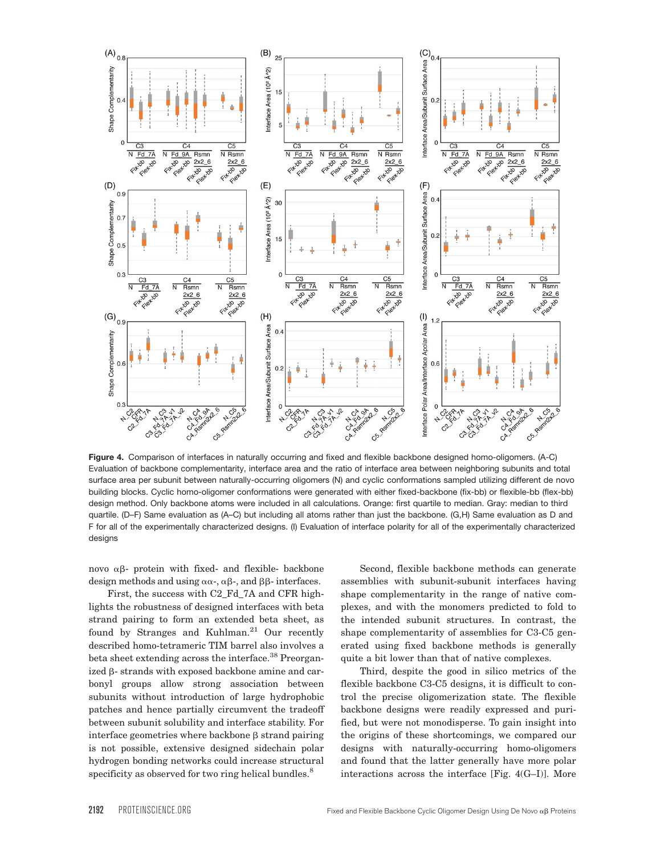

Figure 4. Comparison of interfaces in naturally occurring and fixed and flexible backbone designed homo-oligomers. (A-C) Evaluation of backbone complementarity, interface area and the ratio of interface area between neighboring subunits and total surface area per subunit between naturally-occurring oligomers (N) and cyclic conformations sampled utilizing different de novo building blocks. Cyclic homo-oligomer conformations were generated with either fixed-backbone (fix-bb) or flexible-bb (flex-bb) design method. Only backbone atoms were included in all calculations. Orange: first quartile to median. Gray: median to third quartile. (D–F) Same evaluation as (A–C) but including all atoms rather than just the backbone. (G,H) Same evaluation as D and F for all of the experimentally characterized designs. (I) Evaluation of interface polarity for all of the experimentally characterized designs

novo  $\alpha\beta$ - protein with fixed- and flexible- backbone design methods and using  $\alpha\alpha$ -,  $\alpha\beta$ -, and  $\beta\beta$ - interfaces.

First, the success with C2\_Fd\_7A and CFR highlights the robustness of designed interfaces with beta strand pairing to form an extended beta sheet, as found by Stranges and Kuhlman. $21$  Our recently described homo-tetrameric TIM barrel also involves a beta sheet extending across the interface.<sup>38</sup> Preorganized  $\beta$ - strands with exposed backbone amine and carbonyl groups allow strong association between subunits without introduction of large hydrophobic patches and hence partially circumvent the tradeoff between subunit solubility and interface stability. For interface geometries where backbone  $\beta$  strand pairing is not possible, extensive designed sidechain polar hydrogen bonding networks could increase structural specificity as observed for two ring helical bundles.<sup>8</sup>

Second, flexible backbone methods can generate assemblies with subunit-subunit interfaces having shape complementarity in the range of native complexes, and with the monomers predicted to fold to the intended subunit structures. In contrast, the shape complementarity of assemblies for C3-C5 generated using fixed backbone methods is generally quite a bit lower than that of native complexes.

Third, despite the good in silico metrics of the flexible backbone C3-C5 designs, it is difficult to control the precise oligomerization state. The flexible backbone designs were readily expressed and purified, but were not monodisperse. To gain insight into the origins of these shortcomings, we compared our designs with naturally-occurring homo-oligomers and found that the latter generally have more polar interactions across the interface [Fig. 4(G–I)]. More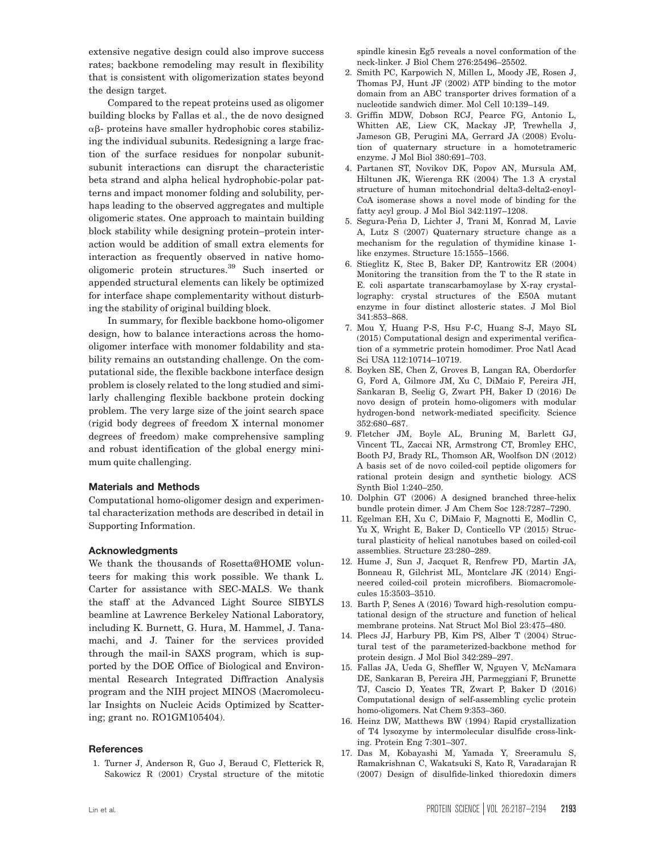extensive negative design could also improve success rates; backbone remodeling may result in flexibility that is consistent with oligomerization states beyond the design target.

Compared to the repeat proteins used as oligomer building blocks by Fallas et al., the de novo designed  $\alpha\beta$ - proteins have smaller hydrophobic cores stabilizing the individual subunits. Redesigning a large fraction of the surface residues for nonpolar subunitsubunit interactions can disrupt the characteristic beta strand and alpha helical hydrophobic-polar patterns and impact monomer folding and solubility, perhaps leading to the observed aggregates and multiple oligomeric states. One approach to maintain building block stability while designing protein–protein interaction would be addition of small extra elements for interaction as frequently observed in native homooligomeric protein structures.<sup>39</sup> Such inserted or appended structural elements can likely be optimized for interface shape complementarity without disturbing the stability of original building block.

In summary, for flexible backbone homo-oligomer design, how to balance interactions across the homooligomer interface with monomer foldability and stability remains an outstanding challenge. On the computational side, the flexible backbone interface design problem is closely related to the long studied and similarly challenging flexible backbone protein docking problem. The very large size of the joint search space (rigid body degrees of freedom X internal monomer degrees of freedom) make comprehensive sampling and robust identification of the global energy minimum quite challenging.

# Materials and Methods

Computational homo-oligomer design and experimental characterization methods are described in detail in Supporting Information.

#### Acknowledgments

We thank the thousands of Rosetta@HOME volunteers for making this work possible. We thank L. Carter for assistance with SEC-MALS. We thank the staff at the Advanced Light Source SIBYLS beamline at Lawrence Berkeley National Laboratory, including K. Burnett, G. Hura, M. Hammel, J. Tanamachi, and J. Tainer for the services provided through the mail-in SAXS program, which is supported by the DOE Office of Biological and Environmental Research Integrated Diffraction Analysis program and the NIH project MINOS (Macromolecular Insights on Nucleic Acids Optimized by Scattering; grant no. RO1GM105404).

#### References

1. Turner J, Anderson R, Guo J, Beraud C, Fletterick R, Sakowicz R (2001) Crystal structure of the mitotic spindle kinesin Eg5 reveals a novel conformation of the neck-linker. J Biol Chem 276:25496–25502.

- 2. Smith PC, Karpowich N, Millen L, Moody JE, Rosen J, Thomas PJ, Hunt JF (2002) ATP binding to the motor domain from an ABC transporter drives formation of a nucleotide sandwich dimer. Mol Cell 10:139–149.
- 3. Griffin MDW, Dobson RCJ, Pearce FG, Antonio L, Whitten AE, Liew CK, Mackay JP, Trewhella J, Jameson GB, Perugini MA, Gerrard JA (2008) Evolution of quaternary structure in a homotetrameric enzyme. J Mol Biol 380:691–703.
- 4. Partanen ST, Novikov DK, Popov AN, Mursula AM, Hiltunen JK, Wierenga RK (2004) The 1.3 A crystal structure of human mitochondrial delta3-delta2-enoyl-CoA isomerase shows a novel mode of binding for the fatty acyl group. J Mol Biol 342:1197–1208.
- 5. Segura-Peña D, Lichter J, Trani M, Konrad M, Lavie A, Lutz S (2007) Quaternary structure change as a mechanism for the regulation of thymidine kinase 1 like enzymes. Structure 15:1555–1566.
- 6. Stieglitz K, Stec B, Baker DP, Kantrowitz ER (2004) Monitoring the transition from the T to the R state in E. coli aspartate transcarbamoylase by X-ray crystallography: crystal structures of the E50A mutant enzyme in four distinct allosteric states. J Mol Biol 341:853–868.
- 7. Mou Y, Huang P-S, Hsu F-C, Huang S-J, Mayo SL (2015) Computational design and experimental verification of a symmetric protein homodimer. Proc Natl Acad Sci USA 112:10714–10719.
- 8. Boyken SE, Chen Z, Groves B, Langan RA, Oberdorfer G, Ford A, Gilmore JM, Xu C, DiMaio F, Pereira JH, Sankaran B, Seelig G, Zwart PH, Baker D (2016) De novo design of protein homo-oligomers with modular hydrogen-bond network-mediated specificity. Science 352:680–687.
- 9. Fletcher JM, Boyle AL, Bruning M, Barlett GJ, Vincent TL, Zaccai NR, Armstrong CT, Bromley EHC, Booth PJ, Brady RL, Thomson AR, Woolfson DN (2012) A basis set of de novo coiled-coil peptide oligomers for rational protein design and synthetic biology. ACS Synth Biol 1:240–250.
- 10. Dolphin GT (2006) A designed branched three-helix bundle protein dimer. J Am Chem Soc 128:7287–7290.
- 11. Egelman EH, Xu C, DiMaio F, Magnotti E, Modlin C, Yu X, Wright E, Baker D, Conticello VP (2015) Structural plasticity of helical nanotubes based on coiled-coil assemblies. Structure 23:280–289.
- 12. Hume J, Sun J, Jacquet R, Renfrew PD, Martin JA, Bonneau R, Gilchrist ML, Montclare JK (2014) Engineered coiled-coil protein microfibers. Biomacromolecules 15:3503–3510.
- 13. Barth P, Senes A (2016) Toward high-resolution computational design of the structure and function of helical membrane proteins. Nat Struct Mol Biol 23:475–480.
- 14. Plecs JJ, Harbury PB, Kim PS, Alber T (2004) Structural test of the parameterized-backbone method for protein design. J Mol Biol 342:289–297.
- 15. Fallas JA, Ueda G, Sheffler W, Nguyen V, McNamara DE, Sankaran B, Pereira JH, Parmeggiani F, Brunette TJ, Cascio D, Yeates TR, Zwart P, Baker D (2016) Computational design of self-assembling cyclic protein homo-oligomers. Nat Chem 9:353–360.
- 16. Heinz DW, Matthews BW (1994) Rapid crystallization of T4 lysozyme by intermolecular disulfide cross-linking. Protein Eng 7:301–307.
- 17. Das M, Kobayashi M, Yamada Y, Sreeramulu S, Ramakrishnan C, Wakatsuki S, Kato R, Varadarajan R (2007) Design of disulfide-linked thioredoxin dimers